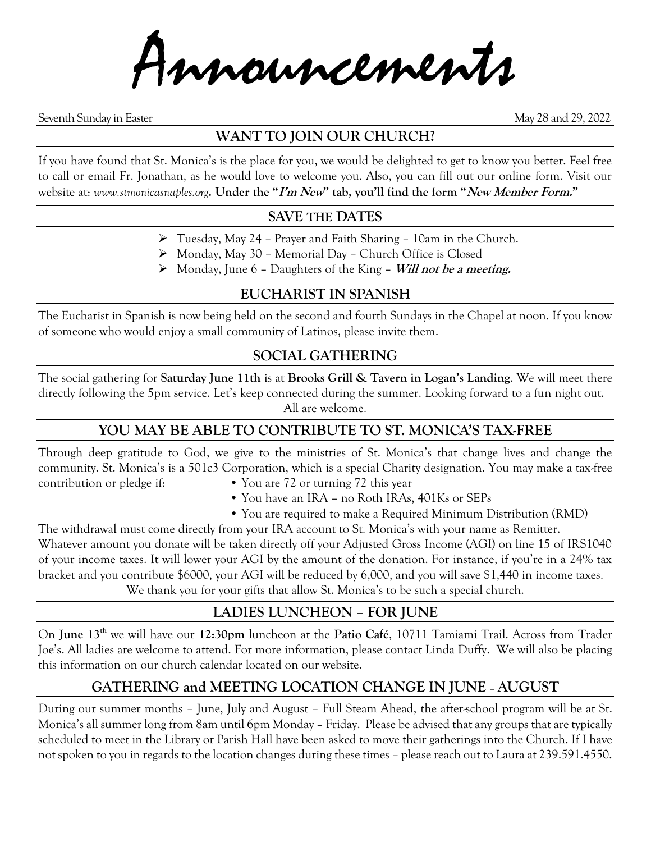Announcements

Seventh Sunday in Easter May 28 and 29, 2022

## **WANT TO JOIN OUR CHURCH?**

If you have found that St. Monica's is the place for you, we would be delighted to get to know you better. Feel free to call or email Fr. Jonathan, as he would love to welcome you. Also, you can fill out our online form. Visit our website at: *www.stmonicasnaples.org***. Under the "I'm New" tab, you'll find the form "New Member Form."**

### **SAVE THE DATES**

- ➢ Tuesday, May 24 Prayer and Faith Sharing 10am in the Church.
- ➢ Monday, May 30 Memorial Day Church Office is Closed
- ➢ Monday, June 6 Daughters of the King **Will not be <sup>a</sup> meeting.**

### **EUCHARIST IN SPANISH**

The Eucharist in Spanish is now being held on the second and fourth Sundays in the Chapel at noon. If you know of someone who would enjoy a small community of Latinos, please invite them.

## **SOCIAL GATHERING**

The social gathering for **Saturday June 11th** is at **Brooks Grill & Tavern in Logan's Landing**. We will meet there directly following the 5pm service. Let's keep connected during the summer. Looking forward to a fun night out. All are welcome.

## **YOU MAY BE ABLE TO CONTRIBUTE TO ST. MONICA'S TAX-FREE**

Through deep gratitude to God, we give to the ministries of St. Monica's that change lives and change the community. St. Monica's is a 501c3 Corporation, which is a special Charity designation. You may make a tax-free contribution or pledge if: • You are 72 or turning 72 this year

- - You have an IRA no Roth IRAs, 401Ks or SEPs
	- You are required to make a Required Minimum Distribution (RMD)

The withdrawal must come directly from your IRA account to St. Monica's with your name as Remitter. Whatever amount you donate will be taken directly off your Adjusted Gross Income (AGI) on line 15 of IRS1040 of your income taxes. It will lower your AGI by the amount of the donation. For instance, if you're in a 24% tax bracket and you contribute \$6000, your AGI will be reduced by 6,000, and you will save \$1,440 in income taxes. We thank you for your gifts that allow St. Monica's to be such a special church.

### **LADIES LUNCHEON – FOR JUNE**

On **June 13th** we will have our **12:30pm** luncheon at the **Patio Café**, 10711 Tamiami Trail. Across from Trader Joe's. All ladies are welcome to attend. For more information, please contact Linda Duffy. We will also be placing this information on our church calendar located on our website.

## **GATHERING and MEETING LOCATION CHANGE IN JUNE** – **AUGUST**

During our summer months – June, July and August – Full Steam Ahead, the after-school program will be at St. Monica's all summer long from 8am until 6pm Monday – Friday. Please be advised that any groups that are typically scheduled to meet in the Library or Parish Hall have been asked to move their gatherings into the Church. If I have not spoken to you in regards to the location changes during these times – please reach out to Laura at 239.591.4550.